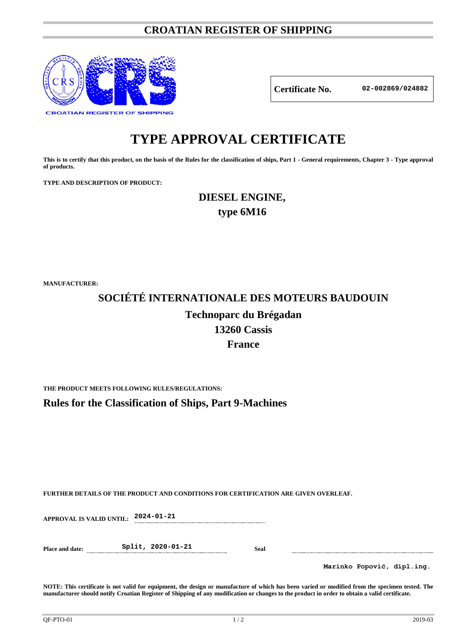### **CROATIAN REGISTER OF SHIPPING**



**Certificate No. 02-002869/024882**

## **TYPE APPROVAL CERTIFICATE**

**This is to certify that this product, on the basis of the Rules for the classification of ships, Part 1 - General requirements, Chapter 3 - Type approval of products.**

**TYPE AND DESCRIPTION OF PRODUCT:** 

## **DIESEL ENGINE, type 6M16**

**MANUFACTURER:**

# **SOCIÉTÉ INTERNATIONALE DES MOTEURS BAUDOUIN Technoparc du Brégadan 13260 Cassis France**

**THE PRODUCT MEETS FOLLOWING RULES/REGULATIONS:**

**Rules for the Classification of Ships, Part 9-Machines**

**FURTHER DETAILS OF THE PRODUCT AND CONDITIONS FOR CERTIFICATION ARE GIVEN OVERLEAF.**

**APPROVAL IS VALID UNTIL: 2024-01-21**

**Place and date: Split, 2020-01-21 Seal**

**Marinko Popović, dipl.ing.**

**NOTE: This certificate is not valid for equipment, the design or manufacture of which has been varied or modified from the specimen tested. The manufacturer should notify Croatian Register of Shipping of any modification or changes to the product in order to obtain a valid certificate.**